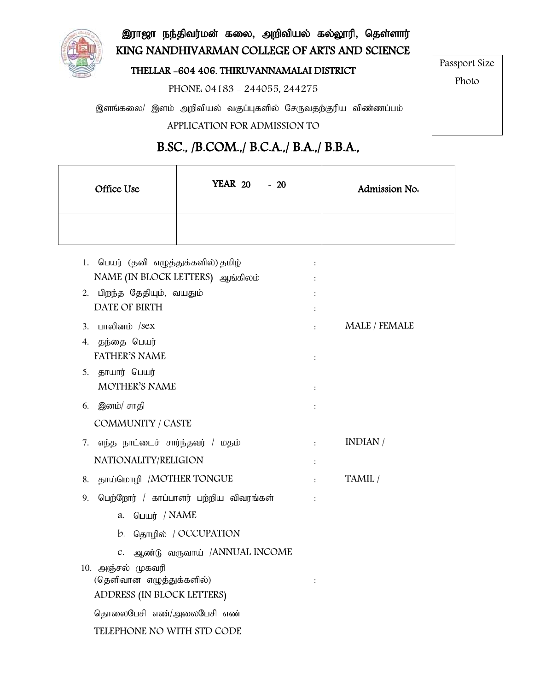

இராஜா நந்திவர்மன் கலை, அறிவியல் கல்லூரி, தெள்ளார் KING NANDHIVARMAN COLLEGE OF ARTS AND SCIENCE

#### THELLAR -604 406. THIRUVANNAMALAI DISTRICT

PHONE: 04183 - 244055, 244275

இளங்கலை/ இளம் அறிவியல் வகுப்புகளில் சேருவதற்குரிய விண்ணப்பம் APPLICATION FOR ADMISSION TO

## Passport Size

Photo

# B.SC., /B.COM.,/ B.C.A.,/ B.A.,/ B.B.A.,

| Office Use | <b>YEAR 20 - 20</b> | Admission No. |
|------------|---------------------|---------------|
|            |                     |               |

| 1. பெயர் (தன் எழுத்துக்களில்) தமிழ          | :                    |               |
|---------------------------------------------|----------------------|---------------|
| NAME (IN BLOCK LETTERS) ஆங்கிலம்            | $\ddot{\cdot}$       |               |
| 2. பிறந்த தேதியும், வயதும்                  | $\ddot{\cdot}$       |               |
| DATE OF BIRTH                               | :                    |               |
| பாலினம் /sex<br>3.                          |                      | MALE / FEMALE |
| 4. தந்தை பெயர்                              |                      |               |
| <b>FATHER'S NAME</b>                        | $\ddot{\cdot}$       |               |
| 5. தாயார் பெயர்                             |                      |               |
| <b>MOTHER'S NAME</b>                        | :                    |               |
| 6. இனம்/ சாதி                               | :                    |               |
| <b>COMMUNITY / CASTE</b>                    |                      |               |
| எந்த நாட்டைச் சார்ந்தவர் / மதம்<br>7.       | $\ddot{\phantom{a}}$ | INDIAN /      |
| NATIONALITY/RELIGION                        | $\ddot{\cdot}$       |               |
| தாய்மொழி /MOTHER TONGUE<br>8.               |                      | TAMIL /       |
| பெற்றோர் / காப்பாளர் பற்றிய விவரங்கள்<br>9. |                      |               |
| பெயர் / NAME<br>a.                          |                      |               |
| b. தொழில் / OCCUPATION                      |                      |               |
| ஆண்டு வருவாய் /ANNUAL INCOME<br>C.          |                      |               |
| 10. அஞ்சல் முகவரி                           |                      |               |
| (தெளிவான எழுத்துக்களில்)                    |                      |               |
| ADDRESS (IN BLOCK LETTERS)                  |                      |               |
| தொலைபேசி எண்/அலைபேசி எண்                    |                      |               |
| TELEPHONE NO WITH STD CODE                  |                      |               |
|                                             |                      |               |